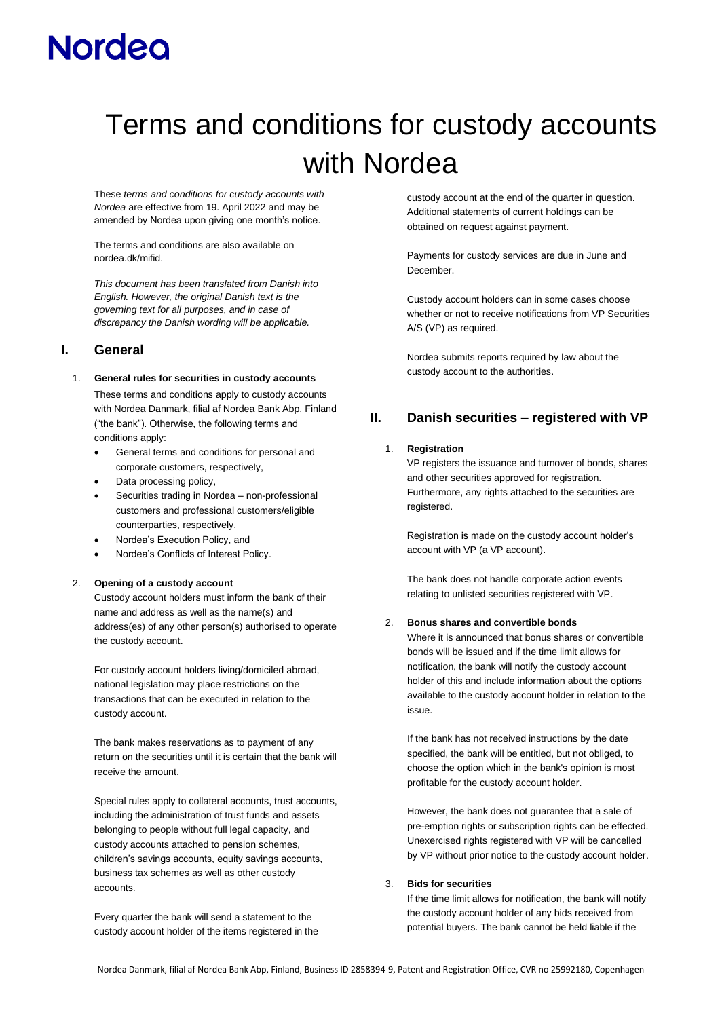## Terms and conditions for custody accounts with Nordea

These *terms and conditions for custody accounts with Nordea* are effective from 19. April 2022 and may be amended by Nordea upon giving one month's notice.

The terms and conditions are also available on nordea.dk/mifid.

*This document has been translated from Danish into English. However, the original Danish text is the governing text for all purposes, and in case of discrepancy the Danish wording will be applicable.*

## **I. General**

#### 1. **General rules for securities in custody accounts**

These terms and conditions apply to custody accounts with Nordea Danmark, filial af Nordea Bank Abp, Finland ("the bank"). Otherwise, the following terms and conditions apply:

- General terms and conditions for personal and corporate customers, respectively,
- Data processing policy,
- Securities trading in Nordea non-professional customers and professional customers/eligible counterparties, respectively,
- Nordea's Execution Policy, and
- Nordea's Conflicts of Interest Policy.

### 2. **Opening of a custody account**

Custody account holders must inform the bank of their name and address as well as the name(s) and address(es) of any other person(s) authorised to operate the custody account.

For custody account holders living/domiciled abroad, national legislation may place restrictions on the transactions that can be executed in relation to the custody account.

The bank makes reservations as to payment of any return on the securities until it is certain that the bank will receive the amount.

Special rules apply to collateral accounts, trust accounts, including the administration of trust funds and assets belonging to people without full legal capacity, and custody accounts attached to pension schemes, children's savings accounts, equity savings accounts, business tax schemes as well as other custody accounts.

Every quarter the bank will send a statement to the custody account holder of the items registered in the custody account at the end of the quarter in question. Additional statements of current holdings can be obtained on request against payment.

Payments for custody services are due in June and **December** 

Custody account holders can in some cases choose whether or not to receive notifications from VP Securities A/S (VP) as required.

Nordea submits reports required by law about the custody account to the authorities.

## **II. Danish securities – registered with VP**

#### 1. **Registration**

VP registers the issuance and turnover of bonds, shares and other securities approved for registration. Furthermore, any rights attached to the securities are registered.

Registration is made on the custody account holder's account with VP (a VP account).

The bank does not handle corporate action events relating to unlisted securities registered with VP.

### 2. **Bonus shares and convertible bonds**

Where it is announced that bonus shares or convertible bonds will be issued and if the time limit allows for notification, the bank will notify the custody account holder of this and include information about the options available to the custody account holder in relation to the issue.

If the bank has not received instructions by the date specified, the bank will be entitled, but not obliged, to choose the option which in the bank's opinion is most profitable for the custody account holder.

However, the bank does not guarantee that a sale of pre-emption rights or subscription rights can be effected. Unexercised rights registered with VP will be cancelled by VP without prior notice to the custody account holder.

#### 3. **Bids for securities**

If the time limit allows for notification, the bank will notify the custody account holder of any bids received from potential buyers. The bank cannot be held liable if the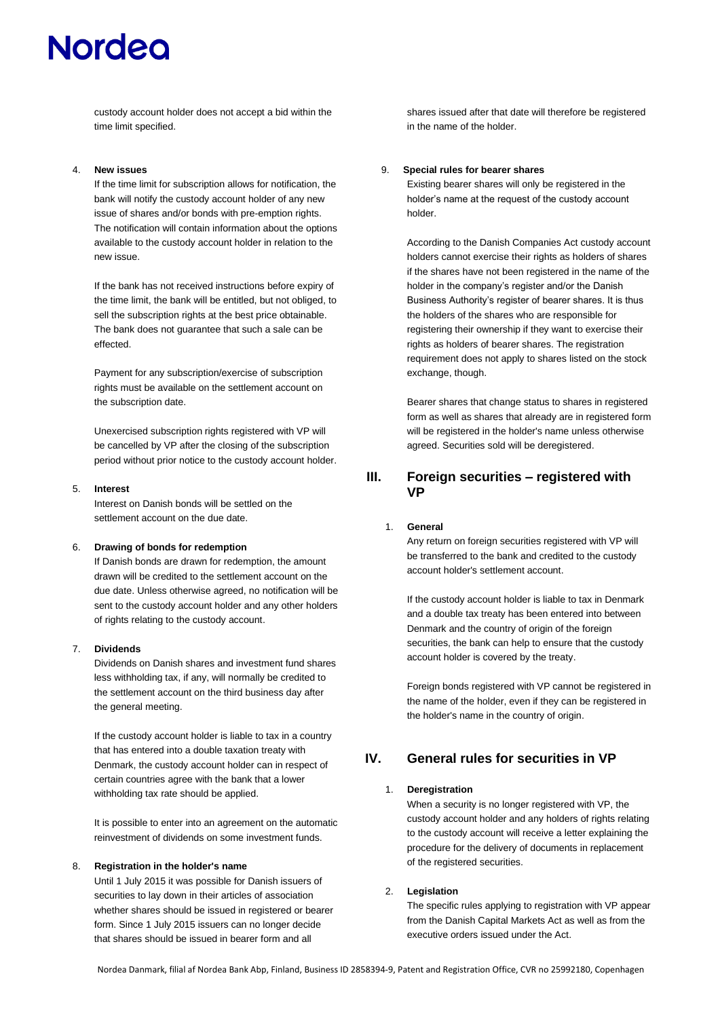custody account holder does not accept a bid within the time limit specified.

### 4. **New issues**

If the time limit for subscription allows for notification, the bank will notify the custody account holder of any new issue of shares and/or bonds with pre-emption rights. The notification will contain information about the options available to the custody account holder in relation to the new issue.

If the bank has not received instructions before expiry of the time limit, the bank will be entitled, but not obliged, to sell the subscription rights at the best price obtainable. The bank does not guarantee that such a sale can be effected.

Payment for any subscription/exercise of subscription rights must be available on the settlement account on the subscription date.

Unexercised subscription rights registered with VP will be cancelled by VP after the closing of the subscription period without prior notice to the custody account holder.

#### 5. **Interest**

Interest on Danish bonds will be settled on the settlement account on the due date.

#### 6. **Drawing of bonds for redemption**

If Danish bonds are drawn for redemption, the amount drawn will be credited to the settlement account on the due date. Unless otherwise agreed, no notification will be sent to the custody account holder and any other holders of rights relating to the custody account.

#### 7. **Dividends**

Dividends on Danish shares and investment fund shares less withholding tax, if any, will normally be credited to the settlement account on the third business day after the general meeting.

If the custody account holder is liable to tax in a country that has entered into a double taxation treaty with Denmark, the custody account holder can in respect of certain countries agree with the bank that a lower withholding tax rate should be applied.

It is possible to enter into an agreement on the automatic reinvestment of dividends on some investment funds.

#### 8. **Registration in the holder's name**

Until 1 July 2015 it was possible for Danish issuers of securities to lay down in their articles of association whether shares should be issued in registered or bearer form. Since 1 July 2015 issuers can no longer decide that shares should be issued in bearer form and all

shares issued after that date will therefore be registered in the name of the holder.

#### 9. **Special rules for bearer shares**

Existing bearer shares will only be registered in the holder's name at the request of the custody account holder.

According to the Danish Companies Act custody account holders cannot exercise their rights as holders of shares if the shares have not been registered in the name of the holder in the company's register and/or the Danish Business Authority's register of bearer shares. It is thus the holders of the shares who are responsible for registering their ownership if they want to exercise their rights as holders of bearer shares. The registration requirement does not apply to shares listed on the stock exchange, though.

Bearer shares that change status to shares in registered form as well as shares that already are in registered form will be registered in the holder's name unless otherwise agreed. Securities sold will be deregistered.

### **III. Foreign securities – registered with VP**

#### 1. **General**

Any return on foreign securities registered with VP will be transferred to the bank and credited to the custody account holder's settlement account.

If the custody account holder is liable to tax in Denmark and a double tax treaty has been entered into between Denmark and the country of origin of the foreign securities, the bank can help to ensure that the custody account holder is covered by the treaty.

Foreign bonds registered with VP cannot be registered in the name of the holder, even if they can be registered in the holder's name in the country of origin.

### **IV. General rules for securities in VP**

#### 1. **Deregistration**

When a security is no longer registered with VP, the custody account holder and any holders of rights relating to the custody account will receive a letter explaining the procedure for the delivery of documents in replacement of the registered securities.

#### 2. **Legislation**

The specific rules applying to registration with VP appear from the Danish Capital Markets Act as well as from the executive orders issued under the Act.

Nordea Danmark, filial af Nordea Bank Abp, Finland, Business ID 2858394-9, Patent and Registration Office, CVR no 25992180, Copenhagen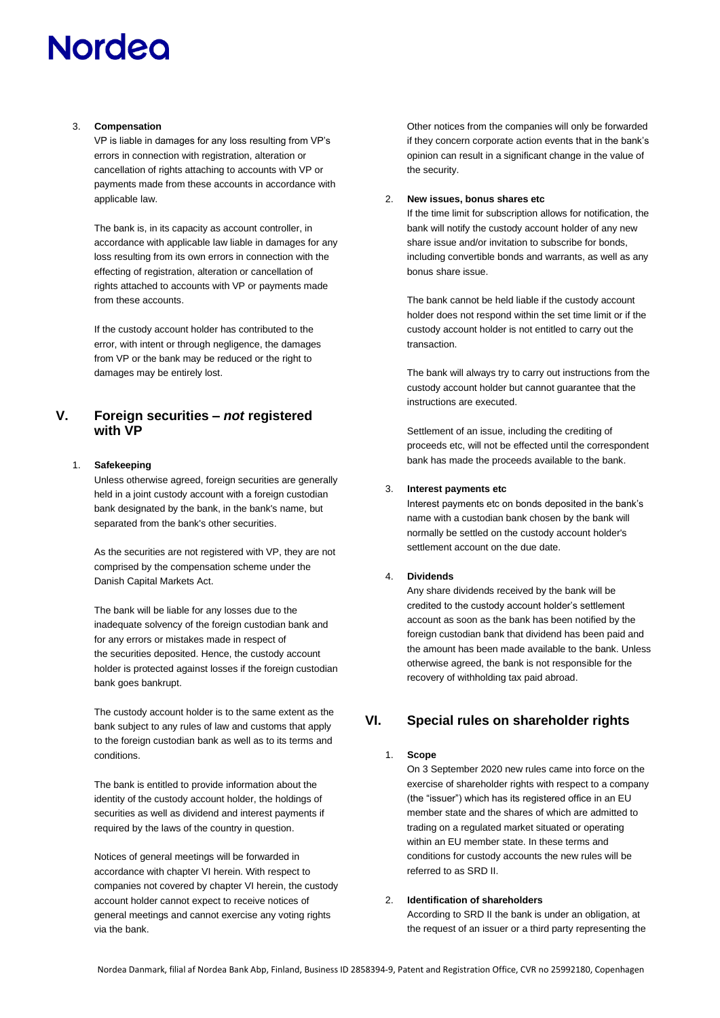#### 3. **Compensation**

VP is liable in damages for any loss resulting from VP's errors in connection with registration, alteration or cancellation of rights attaching to accounts with VP or payments made from these accounts in accordance with applicable law.

The bank is, in its capacity as account controller, in accordance with applicable law liable in damages for any loss resulting from its own errors in connection with the effecting of registration, alteration or cancellation of rights attached to accounts with VP or payments made from these accounts.

If the custody account holder has contributed to the error, with intent or through negligence, the damages from VP or the bank may be reduced or the right to damages may be entirely lost.

## **V. Foreign securities –** *not* **registered with VP**

#### 1. **Safekeeping**

Unless otherwise agreed, foreign securities are generally held in a joint custody account with a foreign custodian bank designated by the bank, in the bank's name, but separated from the bank's other securities.

As the securities are not registered with VP, they are not comprised by the compensation scheme under the Danish Capital Markets Act.

The bank will be liable for any losses due to the inadequate solvency of the foreign custodian bank and for any errors or mistakes made in respect of the securities deposited. Hence, the custody account holder is protected against losses if the foreign custodian bank goes bankrupt.

The custody account holder is to the same extent as the bank subject to any rules of law and customs that apply to the foreign custodian bank as well as to its terms and conditions.

The bank is entitled to provide information about the identity of the custody account holder, the holdings of securities as well as dividend and interest payments if required by the laws of the country in question.

Notices of general meetings will be forwarded in accordance with chapter VI herein. With respect to companies not covered by chapter VI herein, the custody account holder cannot expect to receive notices of general meetings and cannot exercise any voting rights via the bank.

Other notices from the companies will only be forwarded if they concern corporate action events that in the bank's opinion can result in a significant change in the value of the security.

#### 2. **New issues, bonus shares etc**

If the time limit for subscription allows for notification, the bank will notify the custody account holder of any new share issue and/or invitation to subscribe for bonds, including convertible bonds and warrants, as well as any bonus share issue.

The bank cannot be held liable if the custody account holder does not respond within the set time limit or if the custody account holder is not entitled to carry out the transaction.

The bank will always try to carry out instructions from the custody account holder but cannot guarantee that the instructions are executed.

Settlement of an issue, including the crediting of proceeds etc, will not be effected until the correspondent bank has made the proceeds available to the bank.

#### 3. **Interest payments etc**

Interest payments etc on bonds deposited in the bank's name with a custodian bank chosen by the bank will normally be settled on the custody account holder's settlement account on the due date.

#### 4. **Dividends**

Any share dividends received by the bank will be credited to the custody account holder's settlement account as soon as the bank has been notified by the foreign custodian bank that dividend has been paid and the amount has been made available to the bank. Unless otherwise agreed, the bank is not responsible for the recovery of withholding tax paid abroad.

## **VI. Special rules on shareholder rights**

#### 1. **Scope**

On 3 September 2020 new rules came into force on the exercise of shareholder rights with respect to a company (the "issuer") which has its registered office in an EU member state and the shares of which are admitted to trading on a regulated market situated or operating within an EU member state. In these terms and conditions for custody accounts the new rules will be referred to as SRD II.

#### 2. **Identification of shareholders**

According to SRD II the bank is under an obligation, at the request of an issuer or a third party representing the